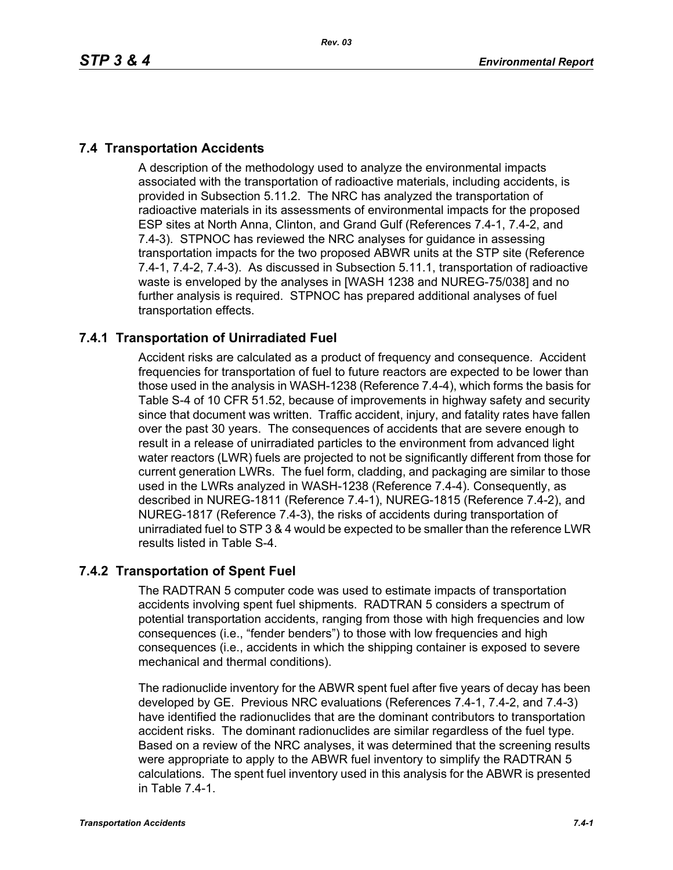# **7.4 Transportation Accidents**

A description of the methodology used to analyze the environmental impacts associated with the transportation of radioactive materials, including accidents, is provided in Subsection 5.11.2. The NRC has analyzed the transportation of radioactive materials in its assessments of environmental impacts for the proposed ESP sites at North Anna, Clinton, and Grand Gulf (References 7.4-1, 7.4-2, and 7.4-3). STPNOC has reviewed the NRC analyses for guidance in assessing transportation impacts for the two proposed ABWR units at the STP site (Reference 7.4-1, 7.4-2, 7.4-3). As discussed in Subsection 5.11.1, transportation of radioactive waste is enveloped by the analyses in [WASH 1238 and NUREG-75/038] and no further analysis is required. STPNOC has prepared additional analyses of fuel transportation effects.

# **7.4.1 Transportation of Unirradiated Fuel**

Accident risks are calculated as a product of frequency and consequence. Accident frequencies for transportation of fuel to future reactors are expected to be lower than those used in the analysis in WASH-1238 (Reference 7.4-4), which forms the basis for Table S-4 of 10 CFR 51.52, because of improvements in highway safety and security since that document was written. Traffic accident, injury, and fatality rates have fallen over the past 30 years. The consequences of accidents that are severe enough to result in a release of unirradiated particles to the environment from advanced light water reactors (LWR) fuels are projected to not be significantly different from those for current generation LWRs. The fuel form, cladding, and packaging are similar to those used in the LWRs analyzed in WASH-1238 (Reference 7.4-4). Consequently, as described in NUREG-1811 (Reference 7.4-1), NUREG-1815 (Reference 7.4-2), and NUREG-1817 (Reference 7.4-3), the risks of accidents during transportation of unirradiated fuel to STP 3 & 4 would be expected to be smaller than the reference LWR results listed in Table S-4.

### **7.4.2 Transportation of Spent Fuel**

The RADTRAN 5 computer code was used to estimate impacts of transportation accidents involving spent fuel shipments. RADTRAN 5 considers a spectrum of potential transportation accidents, ranging from those with high frequencies and low consequences (i.e., "fender benders") to those with low frequencies and high consequences (i.e., accidents in which the shipping container is exposed to severe mechanical and thermal conditions).

The radionuclide inventory for the ABWR spent fuel after five years of decay has been developed by GE. Previous NRC evaluations (References 7.4-1, 7.4-2, and 7.4-3) have identified the radionuclides that are the dominant contributors to transportation accident risks. The dominant radionuclides are similar regardless of the fuel type. Based on a review of the NRC analyses, it was determined that the screening results were appropriate to apply to the ABWR fuel inventory to simplify the RADTRAN 5 calculations. The spent fuel inventory used in this analysis for the ABWR is presented in Table 7.4-1.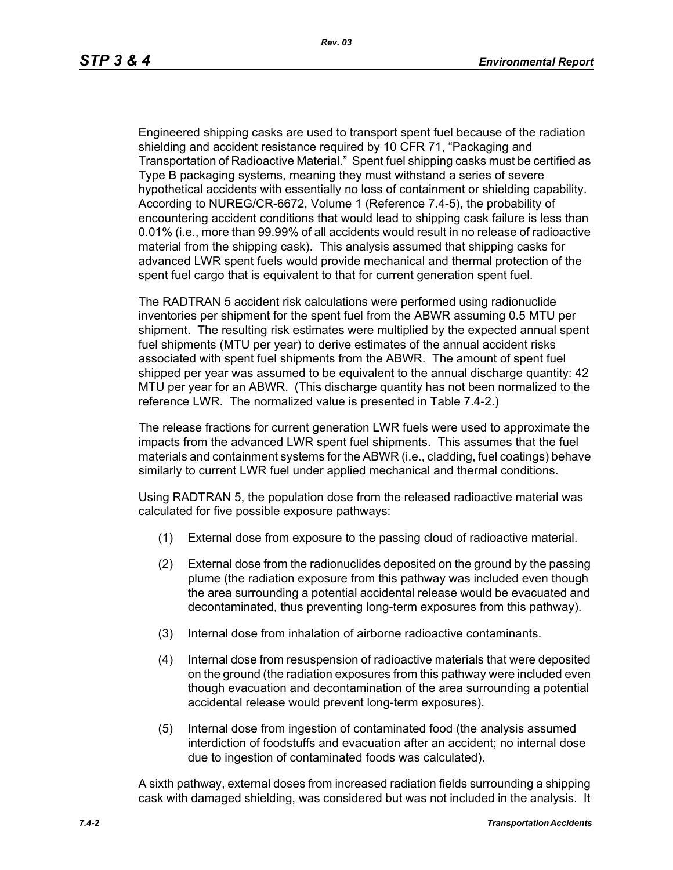Engineered shipping casks are used to transport spent fuel because of the radiation shielding and accident resistance required by 10 CFR 71, "Packaging and Transportation of Radioactive Material." Spent fuel shipping casks must be certified as Type B packaging systems, meaning they must withstand a series of severe hypothetical accidents with essentially no loss of containment or shielding capability. According to NUREG/CR-6672, Volume 1 (Reference 7.4-5), the probability of encountering accident conditions that would lead to shipping cask failure is less than 0.01% (i.e., more than 99.99% of all accidents would result in no release of radioactive material from the shipping cask). This analysis assumed that shipping casks for advanced LWR spent fuels would provide mechanical and thermal protection of the spent fuel cargo that is equivalent to that for current generation spent fuel.

The RADTRAN 5 accident risk calculations were performed using radionuclide inventories per shipment for the spent fuel from the ABWR assuming 0.5 MTU per shipment. The resulting risk estimates were multiplied by the expected annual spent fuel shipments (MTU per year) to derive estimates of the annual accident risks associated with spent fuel shipments from the ABWR. The amount of spent fuel shipped per year was assumed to be equivalent to the annual discharge quantity: 42 MTU per year for an ABWR. (This discharge quantity has not been normalized to the reference LWR. The normalized value is presented in Table 7.4-2.)

The release fractions for current generation LWR fuels were used to approximate the impacts from the advanced LWR spent fuel shipments. This assumes that the fuel materials and containment systems for the ABWR (i.e., cladding, fuel coatings) behave similarly to current LWR fuel under applied mechanical and thermal conditions.

Using RADTRAN 5, the population dose from the released radioactive material was calculated for five possible exposure pathways:

- (1) External dose from exposure to the passing cloud of radioactive material.
- (2) External dose from the radionuclides deposited on the ground by the passing plume (the radiation exposure from this pathway was included even though the area surrounding a potential accidental release would be evacuated and decontaminated, thus preventing long-term exposures from this pathway).
- (3) Internal dose from inhalation of airborne radioactive contaminants.
- (4) Internal dose from resuspension of radioactive materials that were deposited on the ground (the radiation exposures from this pathway were included even though evacuation and decontamination of the area surrounding a potential accidental release would prevent long-term exposures).
- (5) Internal dose from ingestion of contaminated food (the analysis assumed interdiction of foodstuffs and evacuation after an accident; no internal dose due to ingestion of contaminated foods was calculated).

A sixth pathway, external doses from increased radiation fields surrounding a shipping cask with damaged shielding, was considered but was not included in the analysis. It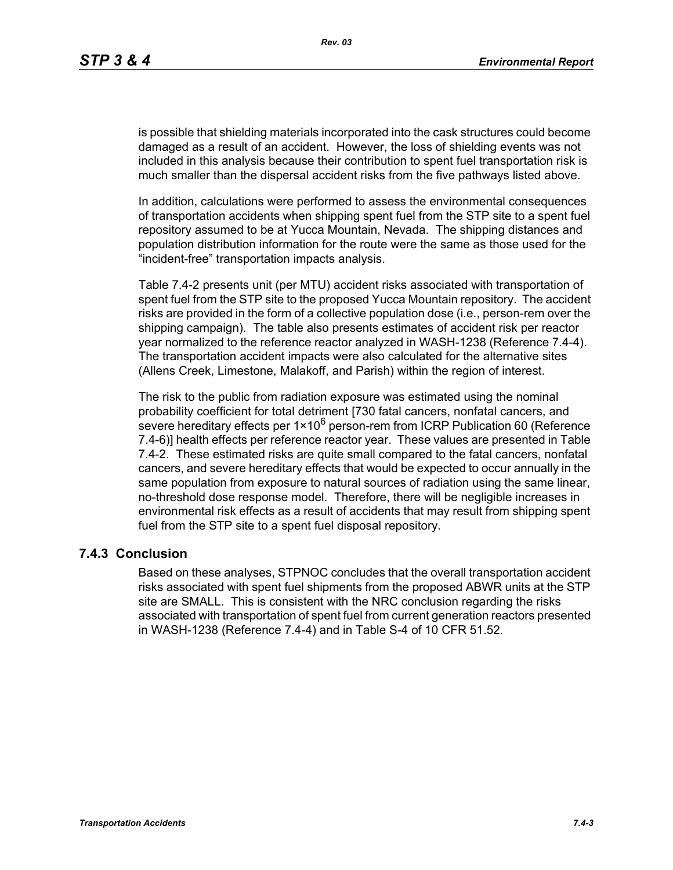is possible that shielding materials incorporated into the cask structures could become damaged as a result of an accident. However, the loss of shielding events was not included in this analysis because their contribution to spent fuel transportation risk is much smaller than the dispersal accident risks from the five pathways listed above.

In addition, calculations were performed to assess the environmental consequences of transportation accidents when shipping spent fuel from the STP site to a spent fuel repository assumed to be at Yucca Mountain, Nevada. The shipping distances and population distribution information for the route were the same as those used for the "incident-free" transportation impacts analysis.

Table 7.4-2 presents unit (per MTU) accident risks associated with transportation of spent fuel from the STP site to the proposed Yucca Mountain repository. The accident risks are provided in the form of a collective population dose (i.e., person-rem over the shipping campaign). The table also presents estimates of accident risk per reactor year normalized to the reference reactor analyzed in WASH-1238 (Reference 7.4-4). The transportation accident impacts were also calculated for the alternative sites (Allens Creek, Limestone, Malakoff, and Parish) within the region of interest.

The risk to the public from radiation exposure was estimated using the nominal probability coefficient for total detriment [730 fatal cancers, nonfatal cancers, and severe hereditary effects per  $1 \times 10^6$  person-rem from ICRP Publication 60 (Reference 7.4-6)] health effects per reference reactor year. These values are presented in Table 7.4-2. These estimated risks are quite small compared to the fatal cancers, nonfatal cancers, and severe hereditary effects that would be expected to occur annually in the same population from exposure to natural sources of radiation using the same linear, no-threshold dose response model. Therefore, there will be negligible increases in environmental risk effects as a result of accidents that may result from shipping spent fuel from the STP site to a spent fuel disposal repository.

#### **7.4.3 Conclusion**

Based on these analyses, STPNOC concludes that the overall transportation accident risks associated with spent fuel shipments from the proposed ABWR units at the STP site are SMALL. This is consistent with the NRC conclusion regarding the risks associated with transportation of spent fuel from current generation reactors presented in WASH-1238 (Reference 7.4-4) and in Table S-4 of 10 CFR 51.52.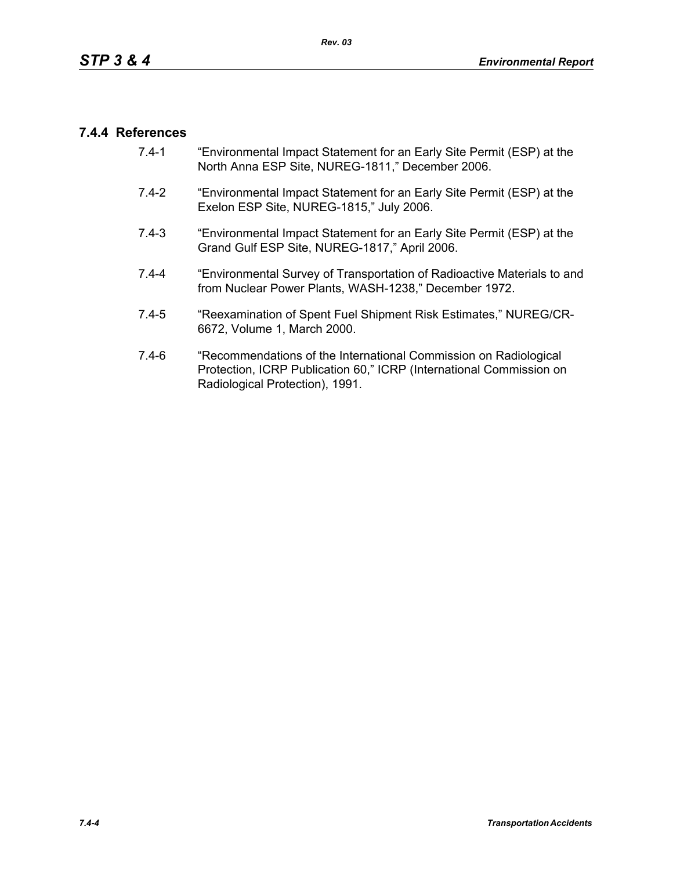### **7.4.4 References**

- 7.4-1 "Environmental Impact Statement for an Early Site Permit (ESP) at the North Anna ESP Site, NUREG-1811," December 2006.
- 7.4-2 "Environmental Impact Statement for an Early Site Permit (ESP) at the Exelon ESP Site, NUREG-1815," July 2006.
- 7.4-3 "Environmental Impact Statement for an Early Site Permit (ESP) at the Grand Gulf ESP Site, NUREG-1817," April 2006.
- 7.4-4 "Environmental Survey of Transportation of Radioactive Materials to and from Nuclear Power Plants, WASH-1238," December 1972.
- 7.4-5 "Reexamination of Spent Fuel Shipment Risk Estimates," NUREG/CR-6672, Volume 1, March 2000.
- 7.4-6 "Recommendations of the International Commission on Radiological Protection, ICRP Publication 60," ICRP (International Commission on Radiological Protection), 1991.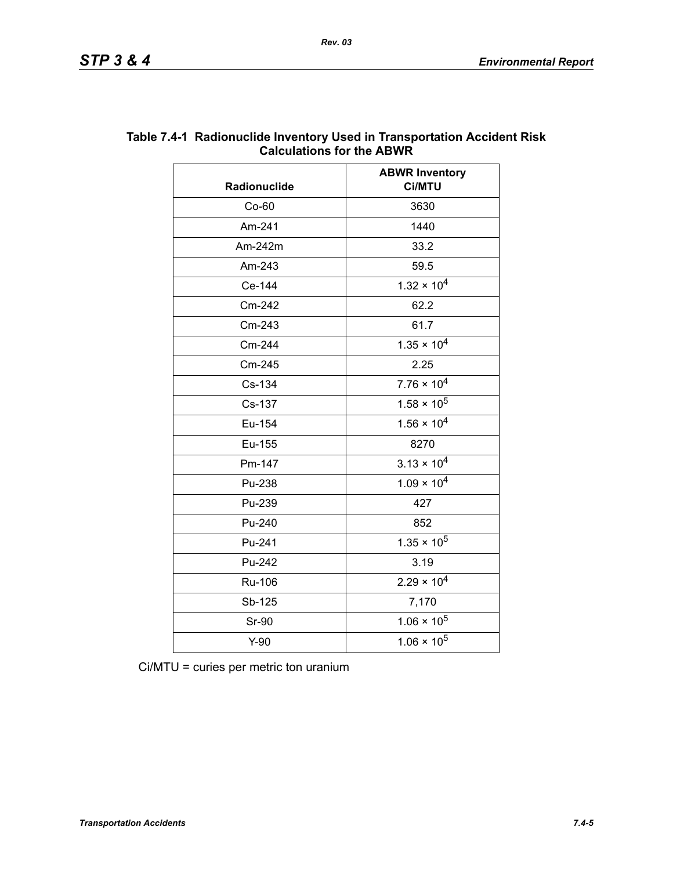| Radionuclide | <b>ABWR Inventory</b><br>Ci/MTU |  |
|--------------|---------------------------------|--|
| Co-60        | 3630                            |  |
| Am-241       | 1440                            |  |
| Am-242m      | 33.2                            |  |
| Am-243       | 59.5                            |  |
| Ce-144       | $1.32 \times 10^{4}$            |  |
| Cm-242       | 62.2                            |  |
| Cm-243       | 61.7                            |  |
| Cm-244       | $1.35 \times 10^{4}$            |  |
| Cm-245       | 2.25                            |  |
| Cs-134       | $7.76 \times 10^{4}$            |  |
| Cs-137       | $1.58 \times 10^5$              |  |
| Eu-154       | $1.56 \times 10^{4}$            |  |
| Eu-155       | 8270                            |  |
| Pm-147       | $3.13 \times 10^{4}$            |  |
| Pu-238       | $1.09 \times 10^{4}$            |  |
| Pu-239       | 427                             |  |
| Pu-240       | 852                             |  |
| Pu-241       | $1.35 \times 10^5$              |  |
| Pu-242       | 3.19                            |  |
| Ru-106       | $2.29 \times 10^{4}$            |  |
| Sb-125       | 7,170                           |  |
| <b>Sr-90</b> | $1.06 \times 10^5$              |  |
| $Y-90$       | $1.06 \times 10^5$              |  |

#### **Table 7.4-1 Radionuclide Inventory Used in Transportation Accident Risk Calculations for the ABWR**

Ci/MTU = curies per metric ton uranium